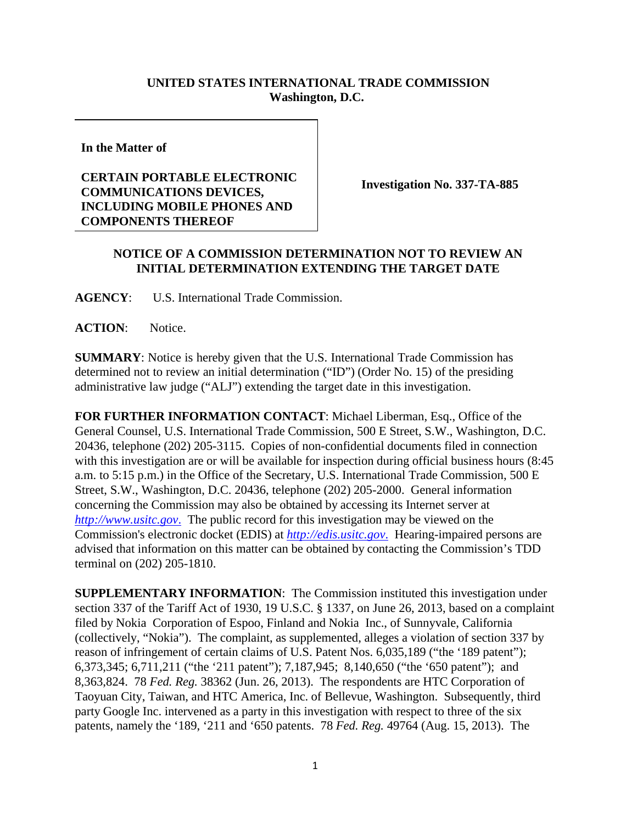## **UNITED STATES INTERNATIONAL TRADE COMMISSION Washington, D.C.**

**In the Matter of**

## **CERTAIN PORTABLE ELECTRONIC COMMUNICATIONS DEVICES, INCLUDING MOBILE PHONES AND COMPONENTS THEREOF**

**Investigation No. 337-TA-885**

## **NOTICE OF A COMMISSION DETERMINATION NOT TO REVIEW AN INITIAL DETERMINATION EXTENDING THE TARGET DATE**

**AGENCY**: U.S. International Trade Commission.

**ACTION**: Notice.

**SUMMARY**: Notice is hereby given that the U.S. International Trade Commission has determined not to review an initial determination ("ID") (Order No. 15) of the presiding administrative law judge ("ALJ") extending the target date in this investigation.

**FOR FURTHER INFORMATION CONTACT**: Michael Liberman, Esq., Office of the General Counsel, U.S. International Trade Commission, 500 E Street, S.W., Washington, D.C. 20436, telephone (202) 205-3115. Copies of non-confidential documents filed in connection with this investigation are or will be available for inspection during official business hours (8:45) a.m. to 5:15 p.m.) in the Office of the Secretary, U.S. International Trade Commission, 500 E Street, S.W., Washington, D.C. 20436, telephone (202) 205-2000. General information concerning the Commission may also be obtained by accessing its Internet server at *http://www.usitc.gov*. The public record for this investigation may be viewed on the Commission's electronic docket (EDIS) at *http://edis.usitc.gov*. Hearing-impaired persons are advised that information on this matter can be obtained by contacting the Commission's TDD terminal on (202) 205-1810.

**SUPPLEMENTARY INFORMATION**: The Commission instituted this investigation under section 337 of the Tariff Act of 1930, 19 U.S.C. § 1337, on June 26, 2013, based on a complaint filed by Nokia Corporation of Espoo, Finland and Nokia Inc., of Sunnyvale, California (collectively, "Nokia"). The complaint, as supplemented, alleges a violation of section 337 by reason of infringement of certain claims of U.S. Patent Nos. 6,035,189 ("the '189 patent"); 6,373,345; 6,711,211 ("the '211 patent"); 7,187,945; 8,140,650 ("the '650 patent"); and 8,363,824. 78 *Fed. Reg.* 38362 (Jun. 26, 2013). The respondents are HTC Corporation of Taoyuan City, Taiwan, and HTC America, Inc. of Bellevue, Washington. Subsequently, third party Google Inc. intervened as a party in this investigation with respect to three of the six patents, namely the '189, '211 and '650 patents. 78 *Fed. Reg.* 49764 (Aug. 15, 2013). The